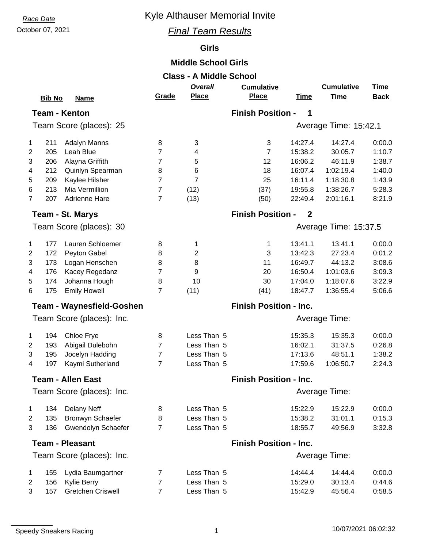## **Race Date Race Date Race Date Race Date Race Date Race Date Race Date Race 2013**

## October 07, 2021 *Final Team Results*

## **Girls**

## **Middle School Girls**

| <b>Class - A Middle School</b> |               |                                  |                |                               |                               |                       |                   |             |  |  |  |
|--------------------------------|---------------|----------------------------------|----------------|-------------------------------|-------------------------------|-----------------------|-------------------|-------------|--|--|--|
|                                |               |                                  |                | Overall                       | <b>Cumulative</b>             |                       | <b>Cumulative</b> | <b>Time</b> |  |  |  |
|                                | <b>Bib No</b> | <b>Name</b>                      | Grade          | <b>Place</b>                  | <b>Place</b>                  | <b>Time</b>           | <b>Time</b>       | <b>Back</b> |  |  |  |
| <b>Team - Kenton</b>           |               |                                  |                | <b>Finish Position -</b><br>1 |                               |                       |                   |             |  |  |  |
| Team Score (places): 25        |               |                                  |                | Average Time: 15:42.1         |                               |                       |                   |             |  |  |  |
| 1                              | 211           | Adalyn Manns                     | 8              | 3                             | $\sqrt{3}$                    | 14:27.4               | 14:27.4           | 0:00.0      |  |  |  |
| $\overline{c}$                 | 205           | Leah Blue                        | 7              | 4                             | $\overline{7}$                | 15:38.2               | 30:05.7           | 1:10.7      |  |  |  |
| 3                              | 206           | Alayna Griffith                  | $\overline{7}$ | 5                             | 12                            | 16:06.2               | 46:11.9           | 1:38.7      |  |  |  |
| 4                              | 212           | Quinlyn Spearman                 | 8              | 6                             | 18                            | 16:07.4               | 1:02:19.4         | 1:40.0      |  |  |  |
| 5                              | 209           | Kaylee Hilsher                   | 7              | $\overline{7}$                | 25                            | 16:11.4               | 1:18:30.8         | 1:43.9      |  |  |  |
| 6                              | 213           | Mia Vermillion                   | $\overline{7}$ | (12)                          | (37)                          | 19:55.8               | 1:38:26.7         | 5:28.3      |  |  |  |
| $\overline{7}$                 | 207           | Adrienne Hare                    | $\overline{7}$ | (13)                          | (50)                          | 22:49.4               | 2:01:16.1         | 8:21.9      |  |  |  |
|                                |               | <b>Team - St. Marys</b>          |                |                               | <b>Finish Position -</b>      | $\mathbf{2}$          |                   |             |  |  |  |
|                                |               | Team Score (places): 30          |                |                               |                               | Average Time: 15:37.5 |                   |             |  |  |  |
| 1                              | 177           | Lauren Schloemer                 | 8              | 1                             | 1                             | 13:41.1               | 13:41.1           | 0:00.0      |  |  |  |
| 2                              | 172           | Peyton Gabel                     | 8              | 2                             | 3                             | 13:42.3               | 27:23.4           | 0:01.2      |  |  |  |
| 3                              | 173           | Logan Henschen                   | 8              | 8                             | 11                            | 16:49.7               | 44:13.2           | 3:08.6      |  |  |  |
| 4                              | 176           | Kacey Regedanz                   | $\overline{7}$ | 9                             | 20                            | 16:50.4               | 1:01:03.6         | 3:09.3      |  |  |  |
| 5                              | 174           | Johanna Hough                    | 8              | 10                            | 30                            | 17:04.0               | 1:18:07.6         | 3:22.9      |  |  |  |
| 6                              | 175           | <b>Emily Howell</b>              | $\overline{7}$ | (11)                          | (41)                          | 18:47.7               | 1:36:55.4         | 5:06.6      |  |  |  |
|                                |               | <b>Team - Waynesfield-Goshen</b> |                |                               | <b>Finish Position - Inc.</b> |                       |                   |             |  |  |  |
|                                |               | Team Score (places): Inc.        |                | Average Time:                 |                               |                       |                   |             |  |  |  |
| 1                              | 194           | Chloe Frye                       | 8              | Less Than 5                   |                               | 15:35.3               | 15:35.3           | 0:00.0      |  |  |  |
| 2                              | 193           | Abigail Dulebohn                 | $\overline{7}$ | Less Than 5                   |                               | 16:02.1               | 31:37.5           | 0:26.8      |  |  |  |
| 3                              | 195           | Jocelyn Hadding                  | $\overline{7}$ | Less Than 5                   |                               | 17:13.6               | 48:51.1           | 1:38.2      |  |  |  |
| 4                              | 197           | Kaymi Sutherland                 | $\overline{7}$ | Less Than 5                   |                               | 17:59.6               | 1:06:50.7         | 2:24.3      |  |  |  |
|                                |               | <b>Team - Allen East</b>         |                | <b>Finish Position - Inc.</b> |                               |                       |                   |             |  |  |  |
|                                |               | Team Score (places): Inc.        |                |                               | Average Time:                 |                       |                   |             |  |  |  |
| 1                              | 134           | <b>Delany Neff</b>               | 8              | Less Than 5                   |                               | 15:22.9               | 15:22.9           | 0:00.0      |  |  |  |
| 2                              | 135           | Bronwyn Schaefer                 | 8              | Less Than 5                   |                               | 15:38.2               | 31:01.1           | 0:15.3      |  |  |  |
| 3                              | 136           | Gwendolyn Schaefer               | $\overline{7}$ | Less Than 5                   |                               | 18:55.7               | 49:56.9           | 3:32.8      |  |  |  |
|                                |               | <b>Team - Pleasant</b>           |                |                               | <b>Finish Position - Inc.</b> |                       |                   |             |  |  |  |
| Team Score (places): Inc.      |               |                                  |                |                               | Average Time:                 |                       |                   |             |  |  |  |
| 1                              | 155           | Lydia Baumgartner                | 7              | Less Than 5                   |                               | 14:44.4               | 14:44.4           | 0:00.0      |  |  |  |
| 2                              | 156           | Kylie Berry                      | 7              | Less Than 5                   |                               | 15:29.0               | 30:13.4           | 0:44.6      |  |  |  |
| 3                              | 157           | <b>Gretchen Criswell</b>         | $\overline{7}$ | Less Than 5                   |                               | 15:42.9               | 45:56.4           | 0:58.5      |  |  |  |